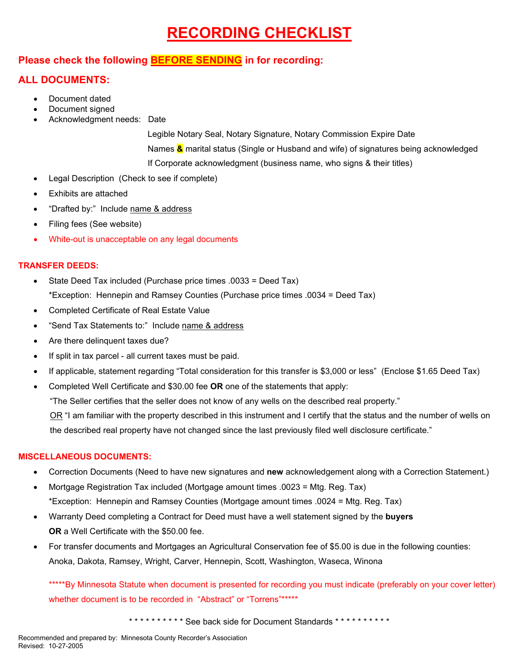# **RECORDING CHECKLIST**

### **Please check the following BEFORE SENDING in for recording:**

### **ALL DOCUMENTS:**

- Document dated
- Document signed
- Acknowledgment needs: Date

 Legible Notary Seal, Notary Signature, Notary Commission Expire Date Names **&** marital status (Single or Husband and wife) of signatures being acknowledged If Corporate acknowledgment (business name, who signs & their titles)

- Legal Description (Check to see if complete)
- Exhibits are attached
- "Drafted by:" Include name & address
- Filing fees (See website)
- White-out is unacceptable on any legal documents

#### **TRANSFER DEEDS:**

- State Deed Tax included (Purchase price times .0033 = Deed Tax) \*Exception: Hennepin and Ramsey Counties (Purchase price times .0034 = Deed Tax)
- Completed Certificate of Real Estate Value
- "Send Tax Statements to:" Include name & address
- Are there delinquent taxes due?
- If split in tax parcel all current taxes must be paid.
- If applicable, statement regarding "Total consideration for this transfer is \$3,000 or less" (Enclose \$1.65 Deed Tax)
- Completed Well Certificate and \$30.00 fee **OR** one of the statements that apply:

"The Seller certifies that the seller does not know of any wells on the described real property."

 OR "I am familiar with the property described in this instrument and I certify that the status and the number of wells on the described real property have not changed since the last previously filed well disclosure certificate."

#### **MISCELLANEOUS DOCUMENTS:**

- Correction Documents (Need to have new signatures and **new** acknowledgement along with a Correction Statement.)
- Mortgage Registration Tax included (Mortgage amount times .0023 = Mtg. Reg. Tax) \*Exception: Hennepin and Ramsey Counties (Mortgage amount times .0024 = Mtg. Reg. Tax)
- Warranty Deed completing a Contract for Deed must have a well statement signed by the **buyers OR** a Well Certificate with the \$50.00 fee.
- For transfer documents and Mortgages an Agricultural Conservation fee of \$5.00 is due in the following counties: Anoka, Dakota, Ramsey, Wright, Carver, Hennepin, Scott, Washington, Waseca, Winona

\*\*\*\*\*By Minnesota Statute when document is presented for recording you must indicate (preferably on your cover letter) whether document is to be recorded in "Abstract" or "Torrens"\*\*\*\*\*\*

\*\*\*\*\*\*\*\*\*\* See back side for Document Standards \*\*\*\*\*\*\*\*\*\*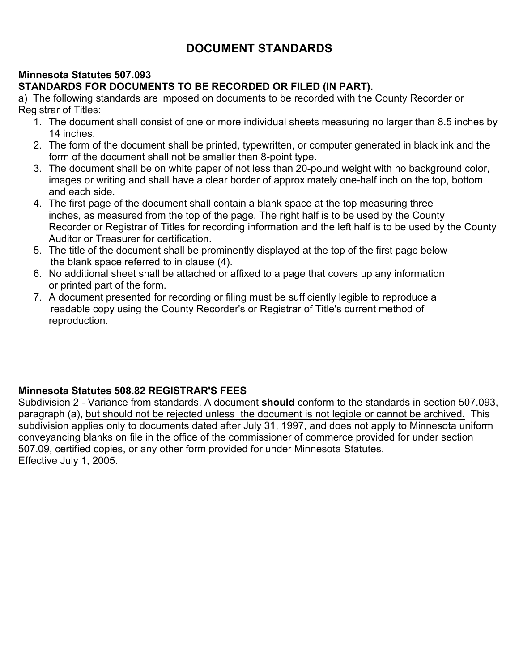# **DOCUMENT STANDARDS**

## **Minnesota Statutes 507.093**

## **STANDARDS FOR DOCUMENTS TO BE RECORDED OR FILED (IN PART).**

a) The following standards are imposed on documents to be recorded with the County Recorder or Registrar of Titles:

- 1. The document shall consist of one or more individual sheets measuring no larger than 8.5 inches by 14 inches.
- 2. The form of the document shall be printed, typewritten, or computer generated in black ink and the form of the document shall not be smaller than 8-point type.
- 3. The document shall be on white paper of not less than 20-pound weight with no background color, images or writing and shall have a clear border of approximately one-half inch on the top, bottom and each side.
- 4. The first page of the document shall contain a blank space at the top measuring three inches, as measured from the top of the page. The right half is to be used by the County Recorder or Registrar of Titles for recording information and the left half is to be used by the County Auditor or Treasurer for certification.
- 5. The title of the document shall be prominently displayed at the top of the first page below the blank space referred to in clause (4).
- 6. No additional sheet shall be attached or affixed to a page that covers up any information or printed part of the form.
- 7. A document presented for recording or filing must be sufficiently legible to reproduce a readable copy using the County Recorder's or Registrar of Title's current method of reproduction.

### **Minnesota Statutes 508.82 REGISTRAR'S FEES**

Subdivision 2 - Variance from standards. A document **should** conform to the standards in section 507.093, paragraph (a), but should not be rejected unless the document is not legible or cannot be archived. This subdivision applies only to documents dated after July 31, 1997, and does not apply to Minnesota uniform conveyancing blanks on file in the office of the commissioner of commerce provided for under section 507.09, certified copies, or any other form provided for under Minnesota Statutes. Effective July 1, 2005.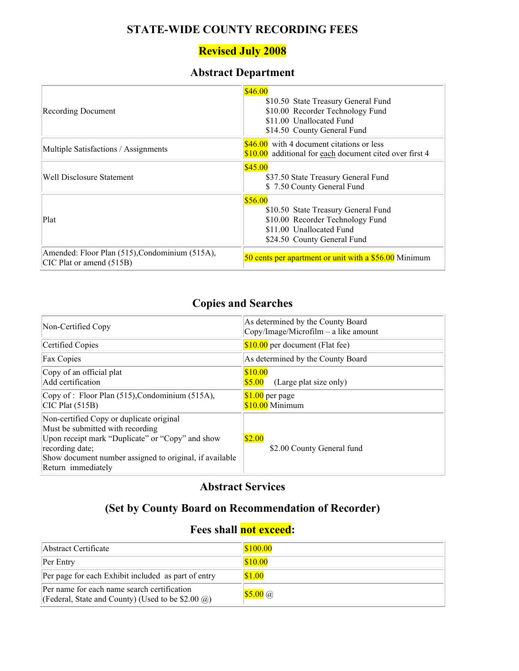## **STATE-WIDE COUNTY RECORDING FEES**

## **Revised July 2008**

# **Abstract Department**

| <b>Recording Document</b>                                                  | \$46.00<br>\$10.50 State Treasury General Fund<br>\$10.00 Recorder Technology Fund<br>\$11.00 Unallocated Fund<br>\$14.50 County General Fund |
|----------------------------------------------------------------------------|-----------------------------------------------------------------------------------------------------------------------------------------------|
| Multiple Satisfactions / Assignments                                       | $$46.00$ with 4 document citations or less<br>\$10.00 additional for each document cited over first 4                                         |
| Well Disclosure Statement                                                  | \$45.00<br>\$37.50 State Treasury General Fund<br>\$7.50 County General Fund                                                                  |
| Plat                                                                       | \$56.00<br>\$10.50 State Treasury General Fund<br>\$10.00 Recorder Technology Fund<br>\$11.00 Unallocated Fund<br>\$24.50 County General Fund |
| Amended: Floor Plan (515), Condominium (515A),<br>CIC Plat or amend (515B) | 50 cents per apartment or unit with a \$56.00 Minimum                                                                                         |

## **Copies and Searches**

| Non-Certified Copy                                                                                                                                                                                                                   | As determined by the County Board<br>$Copy/Image/Microfilm - a like amount$ |
|--------------------------------------------------------------------------------------------------------------------------------------------------------------------------------------------------------------------------------------|-----------------------------------------------------------------------------|
| Certified Copies                                                                                                                                                                                                                     | $$10.00$ per document (Flat fee)                                            |
| <b>Fax Copies</b>                                                                                                                                                                                                                    | As determined by the County Board                                           |
| Copy of an official plat<br>Add certification                                                                                                                                                                                        | \$10.00<br>\$5.00<br>(Large plat size only)                                 |
| Copy of : Floor Plan (515), Condominium (515A),<br>$\vert$ CIC Plat (515B)                                                                                                                                                           | $$1.00$ per page<br>$$10.00$ Minimum                                        |
| Non-certified Copy or duplicate original<br>Must be submitted with recording<br>Upon receipt mark "Duplicate" or "Copy" and show<br>recording date;<br>Show document number assigned to original, if available<br>Return immediately | \$2.00<br>\$2.00 County General fund                                        |

# **Abstract Services**

# **(Set by County Board on Recommendation of Recorder)**

# **Fees shall not exceed:**

| Abstract Certificate                                                                                      | $\frac{$100.00}{}$      |
|-----------------------------------------------------------------------------------------------------------|-------------------------|
| Per Entry                                                                                                 | \$10.00                 |
| Per page for each Exhibit included as part of entry                                                       | \$1.00                  |
| Per name for each name search certification<br>[(Federal, State and County) (Used to be \$2.00 $\omega$ ) | $\sqrt{$5.00}$ $\omega$ |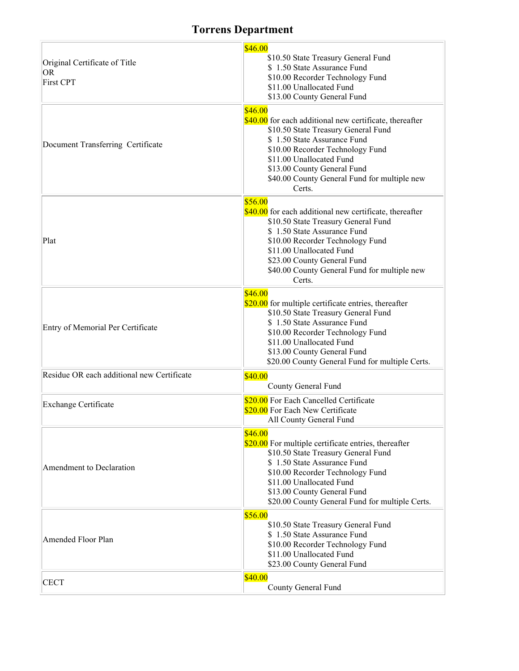# **Torrens Department**

| Original Certificate of Title<br>OR<br><b>First CPT</b> | \$46.00<br>\$10.50 State Treasury General Fund<br>\$1.50 State Assurance Fund<br>\$10.00 Recorder Technology Fund<br>\$11.00 Unallocated Fund<br>\$13.00 County General Fund                                                                                                                      |
|---------------------------------------------------------|---------------------------------------------------------------------------------------------------------------------------------------------------------------------------------------------------------------------------------------------------------------------------------------------------|
| Document Transferring Certificate                       | \$46.00<br>\$40.00 for each additional new certificate, thereafter<br>\$10.50 State Treasury General Fund<br>\$1.50 State Assurance Fund<br>\$10.00 Recorder Technology Fund<br>\$11.00 Unallocated Fund<br>\$13.00 County General Fund<br>\$40.00 County General Fund for multiple new<br>Certs. |
| Plat                                                    | \$56.00<br>\$40.00 for each additional new certificate, thereafter<br>\$10.50 State Treasury General Fund<br>\$1.50 State Assurance Fund<br>\$10.00 Recorder Technology Fund<br>\$11.00 Unallocated Fund<br>\$23.00 County General Fund<br>\$40.00 County General Fund for multiple new<br>Certs. |
| Entry of Memorial Per Certificate                       | \$46.00<br>\$20.00 for multiple certificate entries, thereafter<br>\$10.50 State Treasury General Fund<br>\$1.50 State Assurance Fund<br>\$10.00 Recorder Technology Fund<br>\$11.00 Unallocated Fund<br>\$13.00 County General Fund<br>\$20.00 County General Fund for multiple Certs.           |
| Residue OR each additional new Certificate              | \$40.00<br>County General Fund                                                                                                                                                                                                                                                                    |
| Exchange Certificate                                    | \$20.00 For Each Cancelled Certificate<br>\$20.00 For Each New Certificate<br>All County General Fund                                                                                                                                                                                             |
| Amendment to Declaration                                | \$46.00<br>\$20.00 For multiple certificate entries, thereafter<br>\$10.50 State Treasury General Fund<br>\$1.50 State Assurance Fund<br>\$10.00 Recorder Technology Fund<br>\$11.00 Unallocated Fund<br>\$13.00 County General Fund<br>\$20.00 County General Fund for multiple Certs.           |
| Amended Floor Plan                                      | \$56.00<br>\$10.50 State Treasury General Fund<br>\$1.50 State Assurance Fund<br>\$10.00 Recorder Technology Fund<br>\$11.00 Unallocated Fund<br>\$23.00 County General Fund                                                                                                                      |
| <b>CECT</b>                                             | \$40.00<br>County General Fund                                                                                                                                                                                                                                                                    |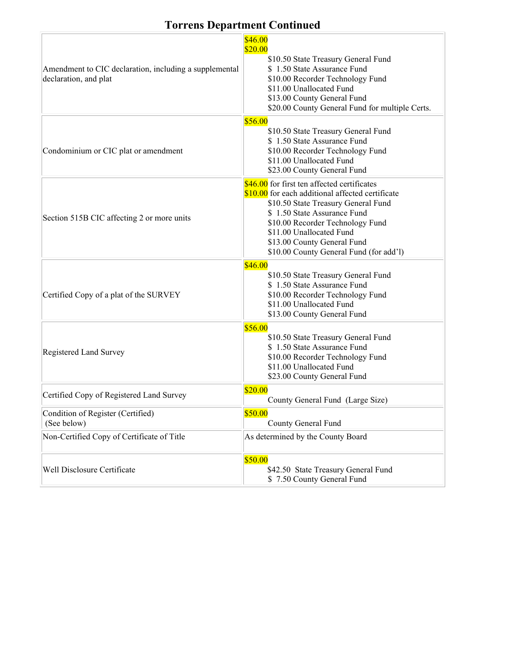# **Torrens Department Continued**

| Amendment to CIC declaration, including a supplemental<br>declaration, and plat | \$46.00<br>\$20.00<br>\$10.50 State Treasury General Fund<br>\$1.50 State Assurance Fund<br>\$10.00 Recorder Technology Fund<br>\$11.00 Unallocated Fund<br>\$13.00 County General Fund<br>\$20.00 County General Fund for multiple Certs.                                                                      |
|---------------------------------------------------------------------------------|-----------------------------------------------------------------------------------------------------------------------------------------------------------------------------------------------------------------------------------------------------------------------------------------------------------------|
| Condominium or CIC plat or amendment                                            | \$56.00<br>\$10.50 State Treasury General Fund<br>\$1.50 State Assurance Fund<br>\$10.00 Recorder Technology Fund<br>\$11.00 Unallocated Fund<br>\$23.00 County General Fund                                                                                                                                    |
| Section 515B CIC affecting 2 or more units                                      | \$46.00 for first ten affected certificates<br>\$10.00 for each additional affected certificate<br>\$10.50 State Treasury General Fund<br>\$1.50 State Assurance Fund<br>\$10.00 Recorder Technology Fund<br>\$11.00 Unallocated Fund<br>\$13.00 County General Fund<br>\$10.00 County General Fund (for add'l) |
| Certified Copy of a plat of the SURVEY                                          | \$46.00<br>\$10.50 State Treasury General Fund<br>\$1.50 State Assurance Fund<br>\$10.00 Recorder Technology Fund<br>\$11.00 Unallocated Fund<br>\$13.00 County General Fund                                                                                                                                    |
| Registered Land Survey                                                          | \$56.00<br>\$10.50 State Treasury General Fund<br>\$1.50 State Assurance Fund<br>\$10.00 Recorder Technology Fund<br>\$11.00 Unallocated Fund<br>\$23.00 County General Fund                                                                                                                                    |
| Certified Copy of Registered Land Survey                                        | \$20.00<br>County General Fund (Large Size)                                                                                                                                                                                                                                                                     |
| Condition of Register (Certified)<br>(See below)                                | \$50.00<br>County General Fund                                                                                                                                                                                                                                                                                  |
| Non-Certified Copy of Certificate of Title                                      | As determined by the County Board                                                                                                                                                                                                                                                                               |
| Well Disclosure Certificate                                                     | \$50.00<br>\$42.50 State Treasury General Fund<br>\$7.50 County General Fund                                                                                                                                                                                                                                    |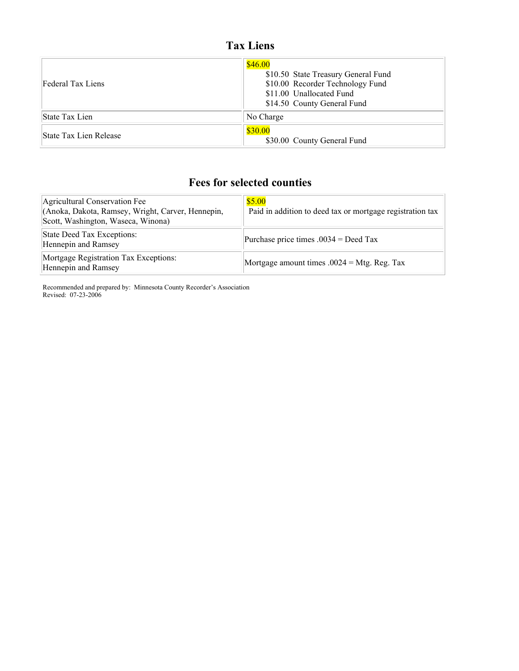# **Tax Liens**

| Federal Tax Liens             | \$46.00<br>\$10.50 State Treasury General Fund<br>\$10.00 Recorder Technology Fund<br>\$11.00 Unallocated Fund<br>\$14.50 County General Fund |
|-------------------------------|-----------------------------------------------------------------------------------------------------------------------------------------------|
| State Tax Lien                | No Charge                                                                                                                                     |
| <b>State Tax Lien Release</b> | \$30.00<br>\$30.00 County General Fund                                                                                                        |

## **Fees for selected counties**

| Agricultural Conservation Fee<br>(Anoka, Dakota, Ramsey, Wright, Carver, Hennepin,<br>Scott, Washington, Waseca, Winona) | \$5.00<br>Paid in addition to deed tax or mortgage registration tax |
|--------------------------------------------------------------------------------------------------------------------------|---------------------------------------------------------------------|
| State Deed Tax Exceptions:<br>Hennepin and Ramsey                                                                        | Purchase price times $.0034 =$ Deed Tax                             |
| Mortgage Registration Tax Exceptions:<br>Hennepin and Ramsey                                                             | Mortgage amount times $.0024 = Mtg$ . Reg. Tax                      |

Recommended and prepared by: Minnesota County Recorder's Association Revised: 07-23-2006